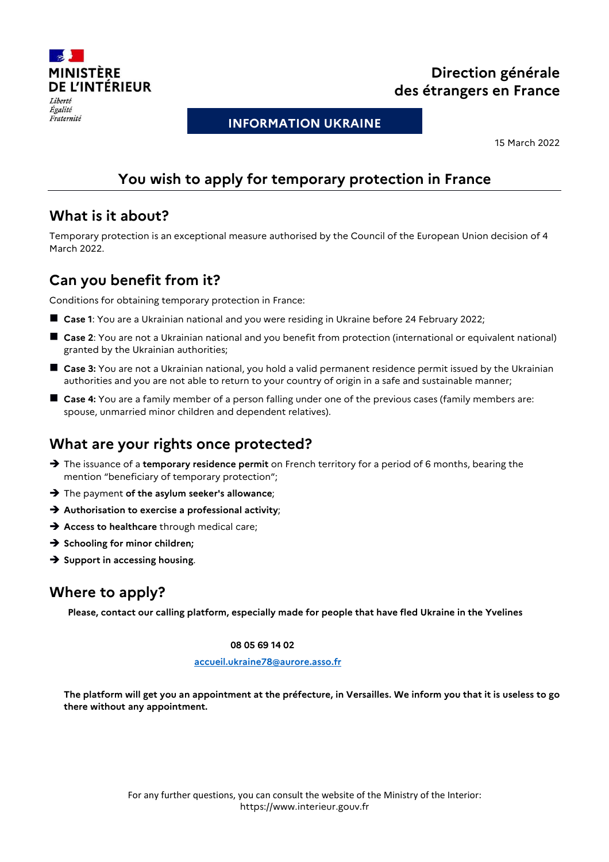

#### Égalité Fraternité

# **Direction générale des étrangers en France**

**INFORMATION UKRAINE**

15 March 2022

# **You wish to apply for temporary protection in France**

#### **What is it about?**

Temporary protection is an exceptional measure authorised by the Council of the European Union decision of 4 March 2022.

## **Can you benefit from it?**

Conditions for obtaining temporary protection in France:

- **Case 1**: You are a Ukrainian national and you were residing in Ukraine before 24 February 2022;
- **Case 2**: You are not a Ukrainian national and you benefit from protection (international or equivalent national) granted by the Ukrainian authorities;
- **Case 3:** You are not a Ukrainian national, you hold a valid permanent residence permit issued by the Ukrainian authorities and you are not able to return to your country of origin in a safe and sustainable manner;
- **Case 4:** You are a family member of a person falling under one of the previous cases (family members are: spouse, unmarried minor children and dependent relatives).

## **What are your rights once protected?**

- → The issuance of a **temporary residence permit** on French territory for a period of 6 months, bearing the mention "beneficiary of temporary protection";
- The payment **of the asylum seeker's allowance**;
- **Authorisation to exercise a professional activity**;
- Access to healthcare through medical care;
- **→** Schooling for minor children;
- $\rightarrow$  **Support in accessing housing.**

## **Where to apply?**

**Please, contact our calling platform, especially made for people that have fled Ukraine in the Yvelines**

#### **08 05 69 14 02**

#### **accueil.ukraine78@aurore.asso.fr**

**The platform will get you an appointment at the préfecture, in Versailles. We inform you that it is useless to go there without any appointment.**